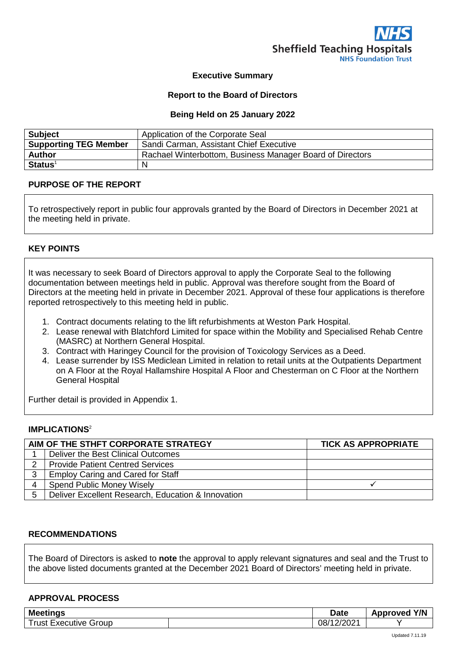

## **Executive Summary**

### **Report to the Board of Directors**

### **Being Held on 25 January 2022**

| <b>Subject</b>               | Application of the Corporate Seal                         |
|------------------------------|-----------------------------------------------------------|
| <b>Supporting TEG Member</b> | Sandi Carman, Assistant Chief Executive                   |
| <b>Author</b>                | Rachael Winterbottom, Business Manager Board of Directors |
| $Status1$                    | N                                                         |

## **PURPOSE OF THE REPORT**

To retrospectively report in public four approvals granted by the Board of Directors in December 2021 at the meeting held in private.

## **KEY POINTS**

It was necessary to seek Board of Directors approval to apply the Corporate Seal to the following documentation between meetings held in public. Approval was therefore sought from the Board of Directors at the meeting held in private in December 2021. Approval of these four applications is therefore reported retrospectively to this meeting held in public.

- 1. Contract documents relating to the lift refurbishments at Weston Park Hospital.
- 2. Lease renewal with Blatchford Limited for space within the Mobility and Specialised Rehab Centre (MASRC) at Northern General Hospital.
- 3. Contract with Haringey Council for the provision of Toxicology Services as a Deed.
- 4. Lease surrender by ISS Mediclean Limited in relation to retail units at the Outpatients Department on A Floor at the Royal Hallamshire Hospital A Floor and Chesterman on C Floor at the Northern General Hospital

Further detail is provided in Appendix 1.

## **IMPLICATIONS**<sup>2</sup>

| AIM OF THE STHFT CORPORATE STRATEGY |                                                    | <b>TICK AS APPROPRIATE</b> |  |
|-------------------------------------|----------------------------------------------------|----------------------------|--|
|                                     | Deliver the Best Clinical Outcomes                 |                            |  |
|                                     | <b>Provide Patient Centred Services</b>            |                            |  |
| 3                                   | <b>Employ Caring and Cared for Staff</b>           |                            |  |
| 4                                   | <b>Spend Public Money Wisely</b>                   |                            |  |
| 5                                   | Deliver Excellent Research, Education & Innovation |                            |  |

### **RECOMMENDATIONS**

The Board of Directors is asked to **note** the approval to apply relevant signatures and seal and the Trust to the above listed documents granted at the December 2021 Board of Directors' meeting held in private.

#### **APPROVAL PROCESS**

| <b>Meetings</b>            | Date | Y/N<br><b>Approved</b> |  |
|----------------------------|------|------------------------|--|
| rust<br>Group<br>Executive |      | ∍ו∩∩י<br>08,<br>'ZUZ   |  |